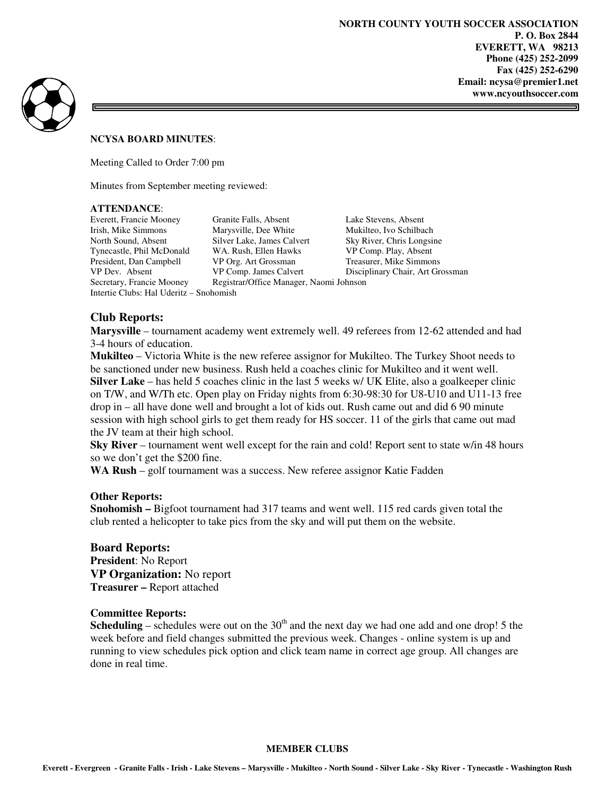ᆿ



#### **NCYSA BOARD MINUTES**:

Meeting Called to Order 7:00 pm

Minutes from September meeting reviewed:

#### **ATTENDANCE**:

Intertie Clubs: Hal Uderitz – Snohomish

Everett, Francie Mooney Granite Falls, Absent Lake Stevens, Absent Irish, Mike Simmons Marysville, Dee White Mukilteo, Ivo Schilbach North Sound, Absent Silver Lake, James Calvert Sky River, Chris Longsine Tynecastle, Phil McDonald WA. Rush, Ellen Hawks VP Comp. Play, Absent President, Dan Campbell VP Org. Art Grossman Treasurer, Mike Simmons VP Dev. Absent VP Comp. James Calvert Disciplinary Chair, Art Grossman Secretary, Francie Mooney Registrar/Office Manager, Naomi Johnson Registrar/Office Manager, Naomi Johnson

## **Club Reports:**

**Marysville** – tournament academy went extremely well. 49 referees from 12-62 attended and had 3-4 hours of education.

**Mukilteo** – Victoria White is the new referee assignor for Mukilteo. The Turkey Shoot needs to be sanctioned under new business. Rush held a coaches clinic for Mukilteo and it went well. **Silver Lake** – has held 5 coaches clinic in the last 5 weeks w/ UK Elite, also a goalkeeper clinic on T/W, and W/Th etc. Open play on Friday nights from 6:30-98:30 for U8-U10 and U11-13 free drop in – all have done well and brought a lot of kids out. Rush came out and did 6 90 minute session with high school girls to get them ready for HS soccer. 11 of the girls that came out mad the JV team at their high school.

**Sky River** – tournament went well except for the rain and cold! Report sent to state w/in 48 hours so we don't get the \$200 fine.

**WA Rush** – golf tournament was a success. New referee assignor Katie Fadden

### **Other Reports:**

**Snohomish –** Bigfoot tournament had 317 teams and went well. 115 red cards given total the club rented a helicopter to take pics from the sky and will put them on the website.

### **Board Reports:**

**President**: No Report **VP Organization:** No report **Treasurer –** Report attached

### **Committee Reports:**

**Scheduling** – schedules were out on the  $30<sup>th</sup>$  and the next day we had one add and one drop! 5 the week before and field changes submitted the previous week. Changes - online system is up and running to view schedules pick option and click team name in correct age group. All changes are done in real time.

#### **MEMBER CLUBS**